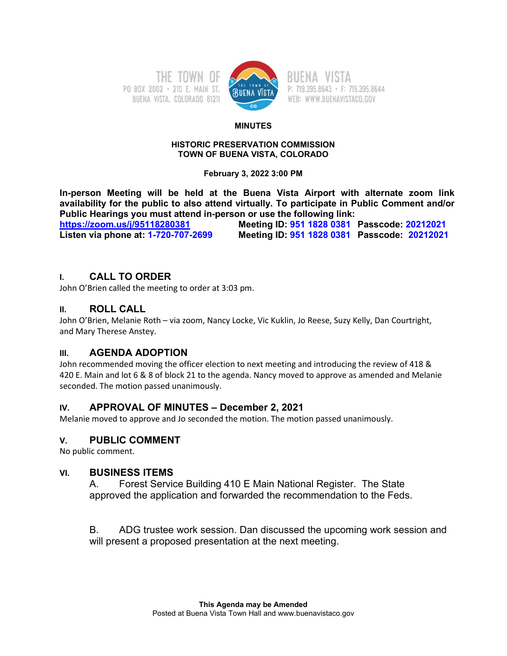



P: 719.395.8643 · F: 719.395.8644 WEB: WWW.BUENAVISTACO.GOV

#### **MINUTES**

#### **HISTORIC PRESERVATION COMMISSION TOWN OF BUENA VISTA, COLORADO**

**February 3, 2022 3:00 PM**

**In-person Meeting will be held at the Buena Vista Airport with alternate zoom link availability for the public to also attend virtually. To participate in Public Comment and/or Public Hearings you must attend in-person or use the following link:**

**[https://zoom.us/j/95118280381](about:blank) Meeting ID: 951 1828 0381 Passcode: 20212021 Listen via phone at: 1-720-707-2699 Meeting ID: 951 1828 0381 Passcode: 20212021**

# **I. CALL TO ORDER**

John O'Brien called the meeting to order at 3:03 pm.

## **II. ROLL CALL**

John O'Brien, Melanie Roth – via zoom, Nancy Locke, Vic Kuklin, Jo Reese, Suzy Kelly, Dan Courtright, and Mary Therese Anstey.

## **III. AGENDA ADOPTION**

John recommended moving the officer election to next meeting and introducing the review of 418 & 420 E. Main and lot 6 & 8 of block 21 to the agenda. Nancy moved to approve as amended and Melanie seconded. The motion passed unanimously.

## **IV. APPROVAL OF MINUTES – December 2, 2021**

Melanie moved to approve and Jo seconded the motion. The motion passed unanimously.

#### **V. PUBLIC COMMENT**

No public comment.

#### **VI. BUSINESS ITEMS**

A. Forest Service Building 410 E Main National Register. The State approved the application and forwarded the recommendation to the Feds.

B. ADG trustee work session. Dan discussed the upcoming work session and will present a proposed presentation at the next meeting.